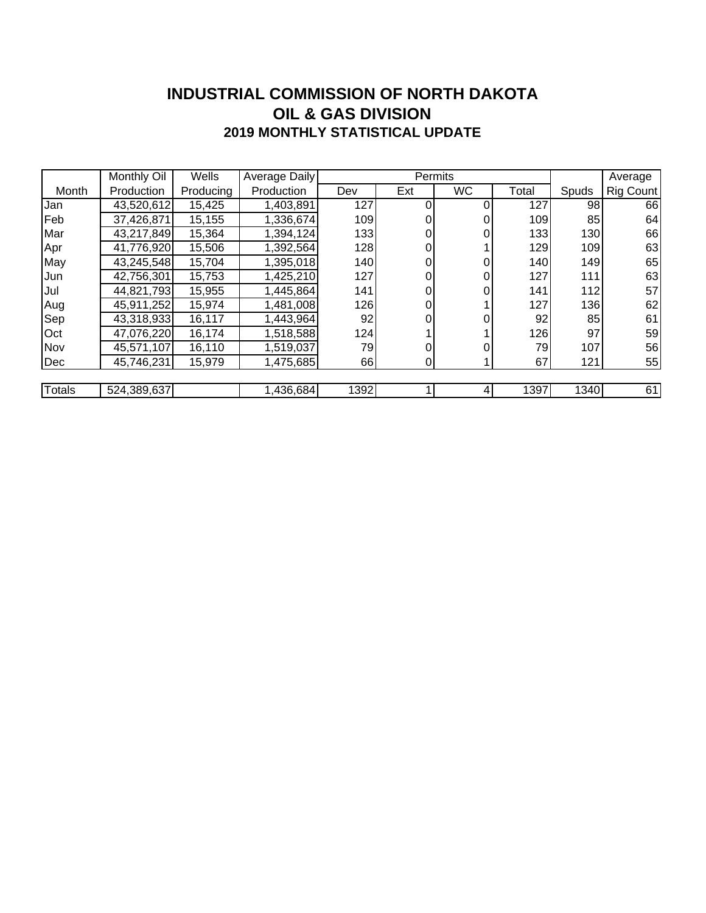### **INDUSTRIAL COMMISSION OF NORTH DAKOTA 2019 MONTHLY STATISTICAL UPDATE OIL & GAS DIVISION**

|        | Monthly Oil | Wells     | Average Daily |      | Permits |           |       | Average |           |
|--------|-------------|-----------|---------------|------|---------|-----------|-------|---------|-----------|
| Month  | Production  | Producing | Production    | Dev  | Ext     | <b>WC</b> | Total | Spuds   | Rig Count |
| Jan    | 43,520,612  | 15,425    | 1,403,891     | 127  | 0       |           | 127   | 98      | 66        |
| Feb    | 37,426,871  | 15,155    | 1,336,674     | 109  | 0       |           | 109   | 85      | 64        |
| Mar    | 43,217,849  | 15,364    | 1,394,124     | 133  | 0       | 0         | 133   | 130     | 66        |
| Apr    | 41,776,920  | 15,506    | 1,392,564     | 128  | 0       |           | 129   | 109     | 63        |
| May    | 43,245,548  | 15,704    | 1,395,018     | 140  | 0       |           | 140   | 149     | 65        |
| Jun    | 42,756,301  | 15,753    | 1,425,210     | 127  | 0       |           | 127   | 111     | 63        |
| Jul    | 44,821,793  | 15,955    | 1,445,864     | 141  | 0       | 0         | 141   | 112     | 57        |
| Aug    | 45,911,252  | 15,974    | 1,481,008     | 126  | 0       |           | 127   | 136     | 62        |
| Sep    | 43,318,933  | 16,117    | 1,443,964     | 92   |         |           | 92    | 85      | 61        |
| Oct    | 47,076,220  | 16,174    | 1,518,588     | 124  |         |           | 126   | 97      | 59        |
| Nov    | 45,571,107  | 16,110    | 1,519,037     | 79   |         |           | 79    | 107     | 56        |
| Dec    | 45,746,231  | 15,979    | 1,475,685     | 66   | 0       |           | 67    | 121     | 55        |
|        |             |           |               |      |         |           |       |         |           |
| Totals | 524,389,637 |           | 1,436,684     | 1392 |         |           | 1397  | 1340    | 61        |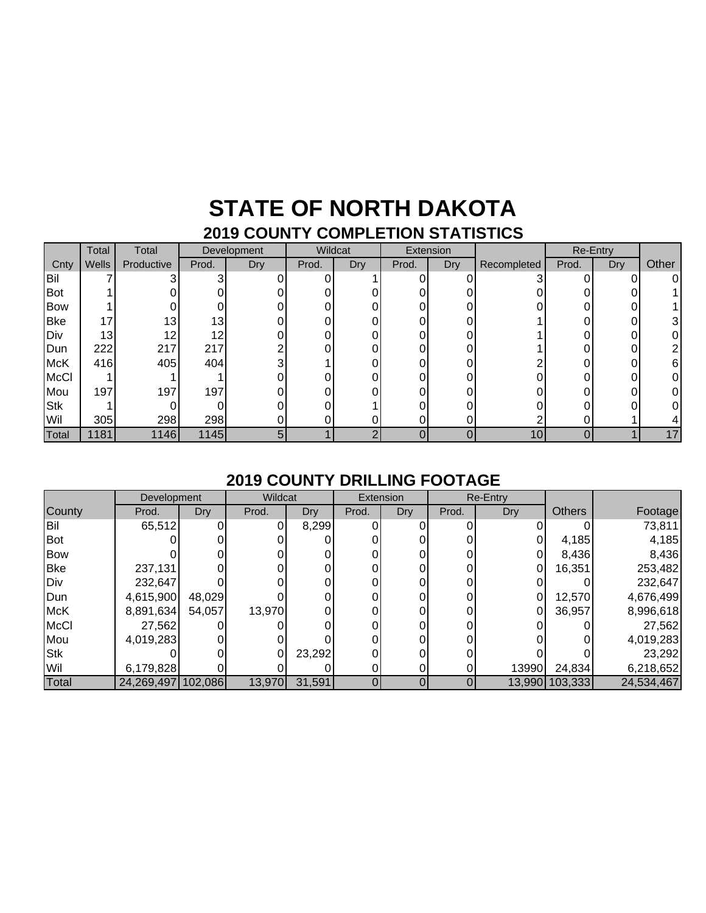### **STATE OF NORTH DAKOTA 2019 COUNTY COMPLETION STATISTICS**

|             | Total | Total           | Development |     | Wildcat |     | Extension |            | Re-Entry    |       |     |       |
|-------------|-------|-----------------|-------------|-----|---------|-----|-----------|------------|-------------|-------|-----|-------|
| Cnty        | Wells | Productive      | Prod.       | Dry | Prod.   | Dry | Prod.     | <b>Dry</b> | Recompleted | Prod. | Dry | Other |
| Bil         |       |                 | ົ           |     |         |     | $\Omega$  |            | ⌒           |       |     | ΩI    |
| Bot         |       |                 |             |     |         |     | 0         |            |             |       |     |       |
| Bow         |       |                 |             |     |         |     | 0         |            |             |       |     |       |
| <b>Bke</b>  | 17    | 13 <sub>1</sub> | 13          |     |         |     | 0         | 0          |             |       |     | 31    |
| Div         | 13    | 12              | 12          |     |         |     | 0         |            |             |       |     |       |
| Dun         | 222   | 217             | 217         |     |         |     | 0         | N.         |             |       |     |       |
| <b>McK</b>  | 416   | 405             | 404         | っ   |         |     | 0         |            |             |       |     | 61    |
| <b>McCl</b> |       |                 |             |     |         |     | 0         |            |             |       |     |       |
| Mou         | 197   | 197             | 197         |     |         |     | 0         |            |             |       |     |       |
| <b>Stk</b>  |       |                 |             |     |         |     | 0         |            |             |       |     |       |
| Wil         | 305   | 298             | 298         |     |         |     | 0         | 0.         |             |       |     |       |
| Total       | 1181  | 1146            | 1145        | 5   |         | ◠   | 0         | 0          | 10          |       |     | 17    |

### **2019 COUNTY DRILLING FOOTAGE**

|             | Development |         | Wildcat |        |       | Extension |       | <b>Re-Entry</b> |               |            |
|-------------|-------------|---------|---------|--------|-------|-----------|-------|-----------------|---------------|------------|
| County      | Prod.       | Dry     | Prod.   | Dry    | Prod. | Dry       | Prod. | <b>Dry</b>      | <b>Others</b> | Footage    |
| <b>Bil</b>  | 65,512      |         |         | 8,299  |       |           |       |                 |               | 73,811     |
| Bot         |             |         |         |        |       |           |       |                 | 4,185         | 4,185      |
| <b>Bow</b>  |             |         |         |        |       |           |       |                 | 8,436         | 8,436      |
| <b>Bke</b>  | 237,131     |         |         |        |       |           |       |                 | 16,351        | 253,482    |
| Div         | 232,647     |         |         |        |       |           |       |                 |               | 232,647    |
| Dun         | 4,615,900   | 48,029  |         |        |       |           |       |                 | 12,570        | 4,676,499  |
| <b>McK</b>  | 8,891,634   | 54,057  | 13,970  |        |       |           |       |                 | 36,957        | 8,996,618  |
| <b>McCl</b> | 27,562      |         |         |        |       |           |       |                 |               | 27,562     |
| Mou         | 4,019,283   |         |         |        |       |           |       |                 |               | 4,019,283  |
| <b>Stk</b>  |             |         |         | 23,292 |       |           |       |                 |               | 23,292     |
| Wil         | 6,179,828   |         |         |        |       |           |       | 13990           | 24,834        | 6,218,652  |
| Total       | 24,269,497  | 102,086 | 13,970  | 31,591 |       |           |       | 13,990          | 103,333       | 24,534,467 |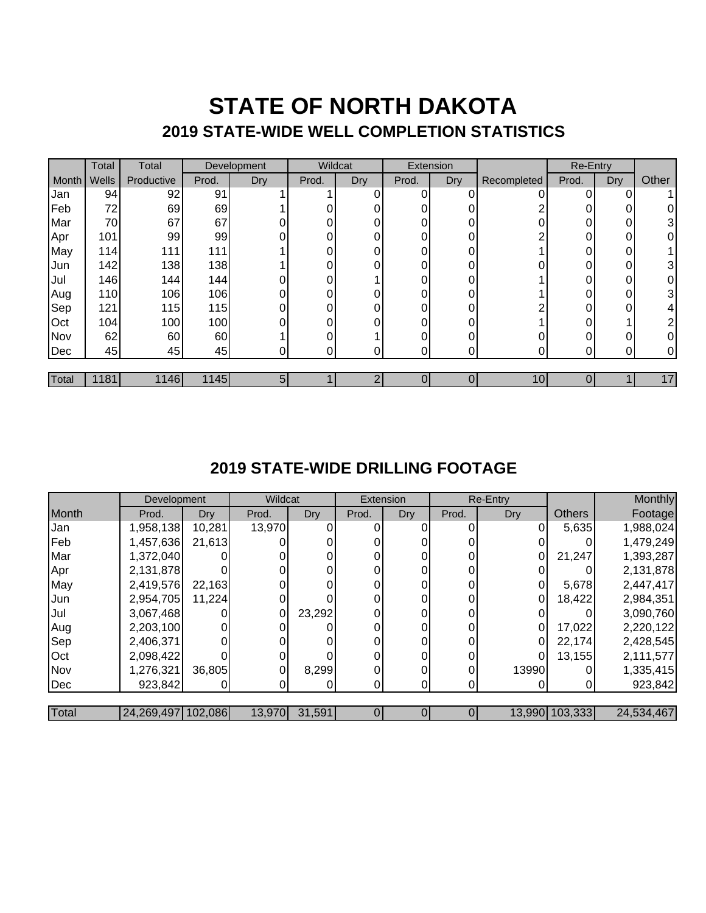## **STATE OF NORTH DAKOTA 2019 STATE-WIDE WELL COMPLETION STATISTICS**

|       | Total | Total      | Development |     | Wildcat |     | Extension |     |             | Re-Entry |     |       |
|-------|-------|------------|-------------|-----|---------|-----|-----------|-----|-------------|----------|-----|-------|
| Month | Wells | Productive | Prod.       | Dry | Prod.   | Dry | Prod.     | Dry | Recompleted | Prod.    | Dry | Other |
| Jan   | 94    | 92         | 91          |     |         | ი   | 0         |     |             | n        | 0   |       |
| Feb   | 72    | 69         | 69          |     |         |     | 0         |     |             |          | 0   | 0     |
| Mar   | 70    | 67         | 67          |     |         |     | 0         |     |             |          | 0   | 3     |
| Apr   | 101   | 99         | 99          |     | ი       |     | 0         |     |             |          | 0   | 0     |
| May   | 114   | 111        | 111         |     |         |     | 0         | 0   |             | 0        | 0   |       |
| Jun   | 142   | 138        | 138         |     | ი       | n   | 0         | ∩   |             | ი        | 0   | 3     |
| Jul   | 146   | 144        | 144         |     | ი       |     | 0         |     |             |          | 0   | 0     |
| Aug   | 110   | 106        | 106         | 0   |         |     | 0         |     |             |          | 0   | 3     |
| Sep   | 121   | 115        | 115         |     | ი       |     | 0         | ŋ   |             | n        | 0   | 4     |
| Oct   | 104   | 100        | 100         |     |         |     | 0         |     |             |          |     | 2     |
| Nov   | 62    | 60         | 60          |     | ი       |     | 0         |     |             | ი        |     | 0     |
| Dec   | 45    | 45         | 45          | 0   |         |     | $\Omega$  | 0   |             |          |     | 0     |
|       |       |            |             |     |         |     |           |     |             |          |     |       |
| Total | 1181  | 1146       | 1145        | 51  |         |     |           | 0   | 10          |          |     | 17    |

### **2019 STATE-WIDE DRILLING FOOTAGE**

|       | Development        |            | Wildcat |        | Extension |     | Re-Entry       |            |                | Monthly    |
|-------|--------------------|------------|---------|--------|-----------|-----|----------------|------------|----------------|------------|
| Month | Prod.              | <b>Dry</b> | Prod.   | Dry    | Prod.     | Dry | Prod.          | <b>Dry</b> | <b>Others</b>  | Footage    |
| Jan   | 1,958,138          | 10,281     | 13,970  |        |           |     |                |            | 5,635          | 1,988,024  |
| Feb   | 1,457,636          | 21,613     |         |        |           |     |                |            |                | 1,479,249  |
| Mar   | 1,372,040          |            |         |        |           |     |                |            | 21,247         | 1,393,287  |
| Apr   | 2,131,878          |            |         |        |           |     | 0              |            |                | 2,131,878  |
| May   | 2,419,576          | 22,163     |         |        |           |     | $\Omega$       |            | 5,678          | 2,447,417  |
| Jun   | 2,954,705          | 11,224     |         |        |           |     |                |            | 18,422         | 2,984,351  |
| Jul   | 3,067,468          |            |         | 23,292 |           |     | 0              |            |                | 3,090,760  |
| Aug   | 2,203,100          |            |         |        |           |     | 0              |            | 17,022         | 2,220,122  |
| Sep   | 2,406,371          |            |         |        |           |     |                |            | 22,174         | 2,428,545  |
| Oct   | 2,098,422          |            |         |        |           |     | $\overline{0}$ |            | 13,155         | 2,111,577  |
| Nov   | 1,276,321          | 36,805     |         | 8,299  |           |     | $\Omega$       | 13990      |                | 1,335,415  |
| Dec   | 923,842            |            |         |        |           |     |                |            |                | 923,842    |
|       |                    |            |         |        |           |     |                |            |                |            |
| Total | 24,269,497 102,086 |            | 13,970  | 31,591 |           |     | 0              |            | 13,990 103,333 | 24,534,467 |